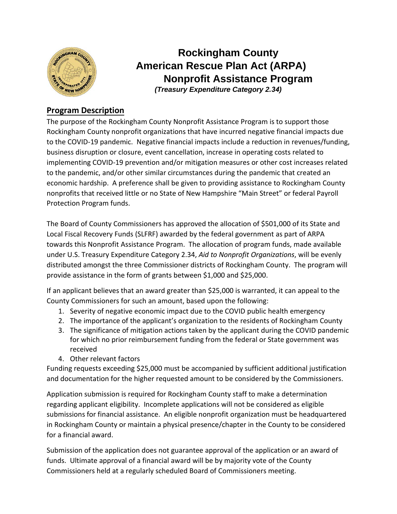

## **Rockingham County American Rescue Plan Act (ARPA) Nonprofit Assistance Program**  *(Treasury Expenditure Category 2.34)*

### **Program Description**

The purpose of the Rockingham County Nonprofit Assistance Program is to support those Rockingham County nonprofit organizations that have incurred negative financial impacts due to the COVID-19 pandemic. Negative financial impacts include a reduction in revenues/funding, business disruption or closure, event cancellation, increase in operating costs related to implementing COVID-19 prevention and/or mitigation measures or other cost increases related to the pandemic, and/or other similar circumstances during the pandemic that created an economic hardship. A preference shall be given to providing assistance to Rockingham County nonprofits that received little or no State of New Hampshire "Main Street" or federal Payroll Protection Program funds.

The Board of County Commissioners has approved the allocation of \$501,000 of its State and Local Fiscal Recovery Funds (SLFRF) awarded by the federal government as part of ARPA towards this Nonprofit Assistance Program. The allocation of program funds, made available under U.S. Treasury Expenditure Category 2.34, *Aid to Nonprofit Organizations*, will be evenly distributed amongst the three Commissioner districts of Rockingham County. The program will provide assistance in the form of grants between \$1,000 and \$25,000.

If an applicant believes that an award greater than \$25,000 is warranted, it can appeal to the County Commissioners for such an amount, based upon the following:

- 1. Severity of negative economic impact due to the COVID public health emergency
- 2. The importance of the applicant's organization to the residents of Rockingham County
- 3. The significance of mitigation actions taken by the applicant during the COVID pandemic for which no prior reimbursement funding from the federal or State government was received
- 4. Other relevant factors

Funding requests exceeding \$25,000 must be accompanied by sufficient additional justification and documentation for the higher requested amount to be considered by the Commissioners.

Application submission is required for Rockingham County staff to make a determination regarding applicant eligibility. Incomplete applications will not be considered as eligible submissions for financial assistance. An eligible nonprofit organization must be headquartered in Rockingham County or maintain a physical presence/chapter in the County to be considered for a financial award.

Submission of the application does not guarantee approval of the application or an award of funds. Ultimate approval of a financial award will be by majority vote of the County Commissioners held at a regularly scheduled Board of Commissioners meeting.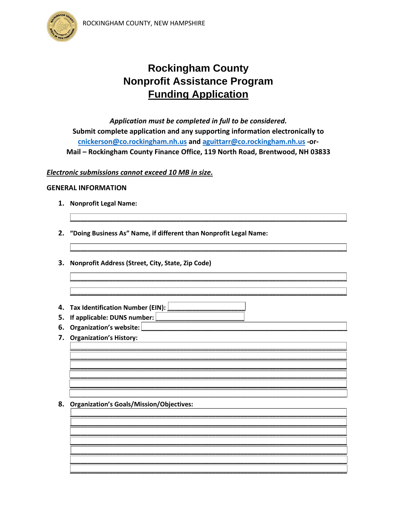

# **Rockingham County Nonprofit Assistance Program Funding Application**

Application must be completed in full to be considered. Submit complete application and any supporting information electronically to cnickerson@co.rockingham.nh.us and aguittarr@co.rockingham.nh.us -or-Mail - Rockingham County Finance Office, 119 North Road, Brentwood, NH 03833

### Electronic submissions cannot exceed 10 MB in size.

#### **GENERAL INFORMATION**

- 1. Nonprofit Legal Name:
- 2. "Doing Business As" Name, if different than Nonprofit Legal Name:
- 3. Nonprofit Address (Street, City, State, Zip Code)
- 4. Tax Identification Number (EIN):  $\Box$
- 5. If applicable: DUNS number:
- 6. Organization's website:
- 7. Organization's History:

#### 8. Organization's Goals/Mission/Objectives: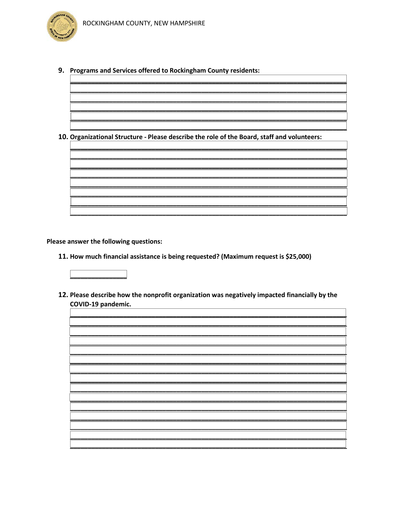9. Programs and Services offered to Rockingham County residents:

10. Organizational Structure - Please describe the role of the Board, staff and volunteers:

Please answer the following questions:

11. How much financial assistance is being requested? (Maximum request is \$25,000)



12. Please describe how the nonprofit organization was negatively impacted financially by the COVID-19 pandemic.

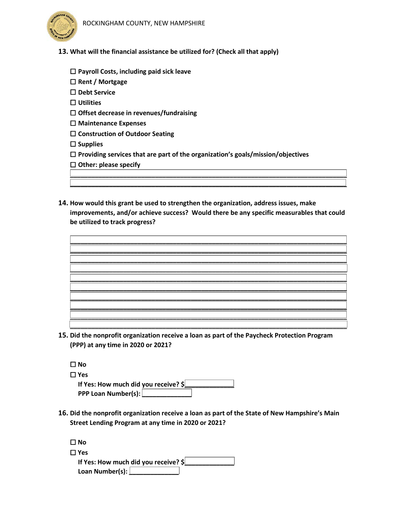



- **13. What will the financial assistance be utilized for? (Check all that apply)**
	- ☐ **Payroll Costs, including paid sick leave**
	- ☐ **Rent / Mortgage**

☐ **Debt Service**

☐ **Utilities**

☐ **Offset decrease in revenues/fundraising**

☐ **Maintenance Expenses**

☐ **Construction of Outdoor Seating**

☐ **Supplies**

☐ **Providing services that are part of the organization's goals/mission/objectives**

☐ **Other: please specify**

**14. How would this grant be used to strengthen the organization, address issues, make improvements, and/or achieve success? Would there be any specific measurables that could be utilized to track progress?** 

**\_\_\_\_\_\_\_\_\_\_\_\_\_\_\_\_\_\_\_\_\_\_\_\_\_\_\_\_\_\_\_\_\_\_\_\_\_\_\_\_\_\_\_\_\_\_\_\_\_\_\_\_\_\_\_\_\_\_\_\_\_\_\_\_\_\_\_\_\_\_\_\_\_\_\_\_\_\_ \_\_\_\_\_\_\_\_\_\_\_\_\_\_\_\_\_\_\_\_\_\_\_\_\_\_\_\_\_\_\_\_\_\_\_\_\_\_\_\_\_\_\_\_\_\_\_\_\_\_\_\_\_\_\_\_\_\_\_\_\_\_\_\_\_\_\_\_\_\_\_\_\_\_\_\_\_\_**



**15. Did the nonprofit organization receive a loan as part of the Paycheck Protection Program (PPP) at any time in 2020 or 2021?**

| $\Box$ No                            |
|--------------------------------------|
| $\Box$ Yes                           |
| If Yes: How much did you receive? \$ |
| <b>PPP Loan Number(s):</b>           |

**16. Did the nonprofit organization receive a loan as part of the State of New Hampshire's Main Street Lending Program at any time in 2020 or 2021?**

| $\Box$ No                            |  |
|--------------------------------------|--|
| $\Box$ Yes                           |  |
| If Yes: How much did you receive? \$ |  |
| Loan Number(s): $\lfloor$            |  |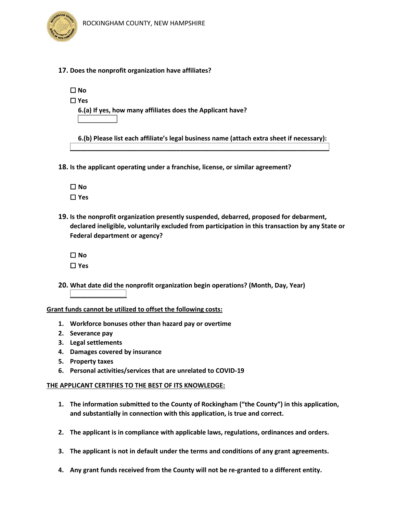

**17. Does the nonprofit organization have affiliates?**

☐ **No**

☐ **Yes**

 **\_\_\_\_\_\_\_\_\_\_\_**

 **6.(a) If yes, how many affiliates does the Applicant have?**

 **6.(b) Please list each affiliate's legal business name (attach extra sheet if necessary):**

**\_\_\_\_\_\_\_\_\_\_\_\_\_\_\_\_\_\_\_\_\_\_\_\_\_\_\_\_\_\_\_\_\_\_\_\_\_\_\_\_\_\_\_\_\_\_\_\_\_\_\_\_\_\_\_\_\_\_\_\_\_\_\_\_\_\_\_\_\_\_\_\_\_**

**18. Is the applicant operating under a franchise, license, or similar agreement?**

☐ **No** ☐ **Yes**

**19. Is the nonprofit organization presently suspended, debarred, proposed for debarment, declared ineligible, voluntarily excluded from participation in this transaction by any State or Federal department or agency?**

☐ **No** ☐ **Yes**

**20. What date did the nonprofit organization begin operations? (Month, Day, Year)** 

#### **Grant funds cannot be utilized to offset the following costs:**

- **1. Workforce bonuses other than hazard pay or overtime**
- **2. Severance pay**
- **3. Legal settlements**

**\_\_\_\_\_\_\_\_\_\_\_\_\_\_\_\_**

- **4. Damages covered by insurance**
- **5. Property taxes**
- **6. Personal activities/services that are unrelated to COVID-19**

#### **THE APPLICANT CERTIFIES TO THE BEST OF ITS KNOWLEDGE:**

- **1. The information submitted to the County of Rockingham ("the County") in this application, and substantially in connection with this application, is true and correct.**
- **2. The applicant is in compliance with applicable laws, regulations, ordinances and orders.**
- **3. The applicant is not in default under the terms and conditions of any grant agreements.**
- **4. Any grant funds received from the County will not be re-granted to a different entity.**